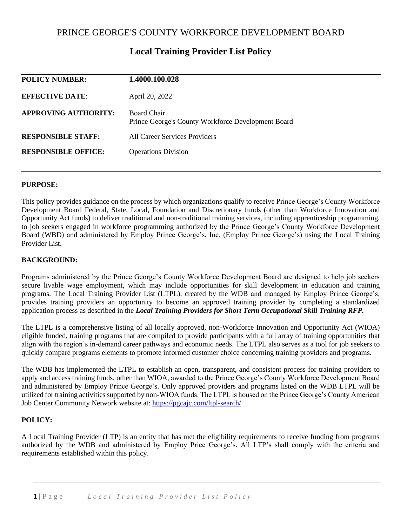| 1.4000.100.028                                                           |
|--------------------------------------------------------------------------|
| April 20, 2022                                                           |
| <b>Board Chair</b><br>Prince George's County Workforce Development Board |
| All Career Services Providers                                            |
| <b>Operations Division</b>                                               |
|                                                                          |

# **Local Training Provider List Policy**

#### **PURPOSE:**

This policy provides guidance on the process by which organizations qualify to receive Prince George's County Workforce Development Board Federal, State, Local, Foundation and Discretionary funds (other than Workforce Innovation and Opportunity Act funds) to deliver traditional and non-traditional training services, including apprenticeship programming, to job seekers engaged in workforce programming authorized by the Prince George's County Workforce Development Board (WBD) and administered by Employ Prince George's, Inc. (Employ Prince George's) using the Local Training Provider List.

#### **BACKGROUND:**

Programs administered by the Prince George's County Workforce Development Board are designed to help job seekers secure livable wage employment, which may include opportunities for skill development in education and training programs. The Local Training Provider List (LTPL), created by the WDB and managed by Employ Prince George's, provides training providers an opportunity to become an approved training provider by completing a standardized application process as described in the *Local Training Providers for Short Term Occupational Skill Training RFP.* 

The LTPL is a comprehensive listing of all locally approved, non-Workforce Innovation and Opportunity Act (WIOA) eligible funded, training programs that are compiled to provide participants with a full array of training opportunities that align with the region's in-demand career pathways and economic needs. The LTPL also serves as a tool for job seekers to quickly compare programs elements to promote informed customer choice concerning training providers and programs.

The WDB has implemented the LTPL to establish an open, transparent, and consistent process for training providers to apply and access training funds, other than WIOA, awarded to the Prince George's County Workforce Development Board and administered by Employ Prince George's. Only approved providers and programs listed on the WDB LTPL will be utilized for training activities supported by non-WIOA funds. The LTPL is housed on the Prince George's County American Job Center Community Network website at: [https://pgcajc.com/ltpl-search/.](https://pgcajc.com/ltpl-search/)

# **POLICY:**

A Local Training Provider (LTP) is an entity that has met the eligibility requirements to receive funding from programs authorized by the WDB and administered by Employ Price George's. All LTP's shall comply with the criteria and requirements established within this policy.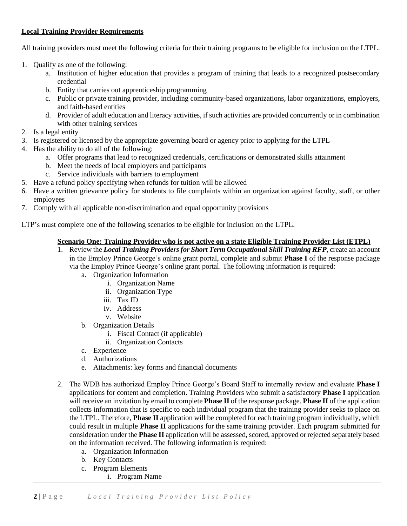### **Local Training Provider Requirements**

All training providers must meet the following criteria for their training programs to be eligible for inclusion on the LTPL.

- 1. Qualify as one of the following:
	- a. Institution of higher education that provides a program of training that leads to a recognized postsecondary credential
	- b. Entity that carries out apprenticeship programming
	- c. Public or private training provider, including community-based organizations, labor organizations, employers, and faith-based entities
	- d. Provider of adult education and literacy activities, if such activities are provided concurrently or in combination with other training services
- 2. Is a legal entity
- 3. Is registered or licensed by the appropriate governing board or agency prior to applying for the LTPL
- 4. Has the ability to do all of the following:
	- a. Offer programs that lead to recognized credentials, certifications or demonstrated skills attainment
	- b. Meet the needs of local employers and participants
	- c. Service individuals with barriers to employment
- 5. Have a refund policy specifying when refunds for tuition will be allowed
- 6. Have a written grievance policy for students to file complaints within an organization against faculty, staff, or other employees
- 7. Comply with all applicable non-discrimination and equal opportunity provisions

LTP's must complete one of the following scenarios to be eligible for inclusion on the LTPL.

#### **Scenario One: Training Provider who is not active on a state Eligible Training Provider List (ETPL)**

- 1. Review the *Local Training Providers for Short Term Occupational Skill Training RFP*, create an account in the Employ Prince George's online grant portal, complete and submit **Phase I** of the response package via the Employ Prince George's online grant portal. The following information is required:
	- a. Organization Information
		- i. Organization Name
		- ii. Organization Type
		- iii. Tax ID
		- iv. Address
		- v. Website
	- b. Organization Details
		- i. Fiscal Contact (if applicable)
		- ii. Organization Contacts
	- c. Experience
	- d. Authorizations
	- e. Attachments: key forms and financial documents
- 2. The WDB has authorized Employ Prince George's Board Staff to internally review and evaluate **Phase I**  applications for content and completion. Training Providers who submit a satisfactory **Phase I** application will receive an invitation by email to complete **Phase II** of the response package. **Phase II** of the application collects information that is specific to each individual program that the training provider seeks to place on the LTPL. Therefore, **Phase II** application will be completed for each training program individually, which could result in multiple **Phase II** applications for the same training provider. Each program submitted for consideration under the **Phase II** application will be assessed, scored, approved or rejected separately based on the information received. The following information is required:
	- a. Organization Information
	- b. Key Contacts
	- c. Program Elements
		- i. Program Name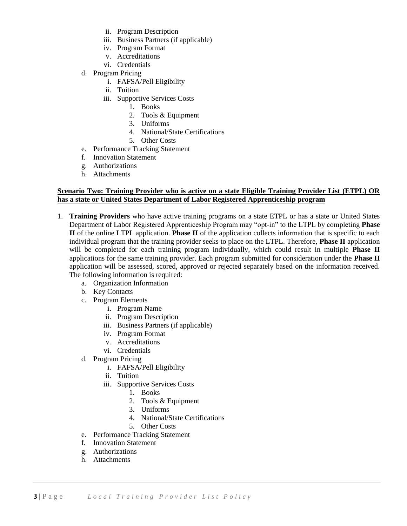- ii. Program Description
- iii. Business Partners (if applicable)
- iv. Program Format
- v. Accreditations
- vi. Credentials
- d. Program Pricing
	- i. FAFSA/Pell Eligibility
	- ii. Tuition
	- iii. Supportive Services Costs
		- 1. Books
		- 2. Tools & Equipment
		- 3. Uniforms
		- 4. National/State Certifications
		- 5. Other Costs
- e. Performance Tracking Statement
- f. Innovation Statement
- g. Authorizations
- h. Attachments

#### **Scenario Two: Training Provider who is active on a state Eligible Training Provider List (ETPL) OR has a state or United States Department of Labor Registered Apprenticeship program**

- 1. **Training Providers** who have active training programs on a state ETPL or has a state or United States Department of Labor Registered Apprenticeship Program may "opt-in" to the LTPL by completing **Phase II** of the online LTPL application. **Phase II** of the application collects information that is specific to each individual program that the training provider seeks to place on the LTPL. Therefore, **Phase II** application will be completed for each training program individually, which could result in multiple **Phase II**  applications for the same training provider. Each program submitted for consideration under the **Phase II**  application will be assessed, scored, approved or rejected separately based on the information received. The following information is required:
	- a. Organization Information
	- b. Key Contacts
	- c. Program Elements
		- i. Program Name
		- ii. Program Description
		- iii. Business Partners (if applicable)
		- iv. Program Format
		- v. Accreditations
		- vi. Credentials
	- d. Program Pricing
		- i. FAFSA/Pell Eligibility
		- ii. Tuition
		- iii. Supportive Services Costs
			- 1. Books
			- 2. Tools & Equipment
			- 3. Uniforms
			- 4. National/State Certifications
			- 5. Other Costs
	- e. Performance Tracking Statement
	- f. Innovation Statement
	- g. Authorizations
	- h. Attachments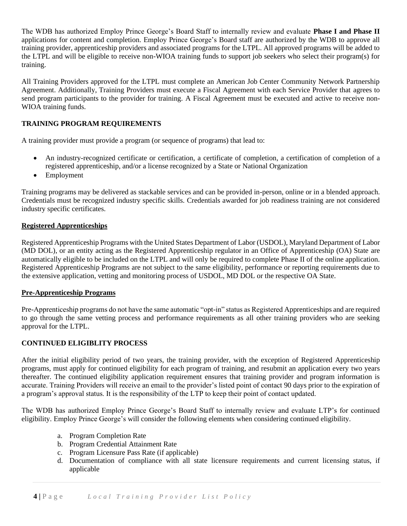The WDB has authorized Employ Prince George's Board Staff to internally review and evaluate **Phase I and Phase II**  applications for content and completion. Employ Prince George's Board staff are authorized by the WDB to approve all training provider, apprenticeship providers and associated programs for the LTPL. All approved programs will be added to the LTPL and will be eligible to receive non-WIOA training funds to support job seekers who select their program(s) for training.

All Training Providers approved for the LTPL must complete an American Job Center Community Network Partnership Agreement. Additionally, Training Providers must execute a Fiscal Agreement with each Service Provider that agrees to send program participants to the provider for training. A Fiscal Agreement must be executed and active to receive non-WIOA training funds.

# **TRAINING PROGRAM REQUIREMENTS**

A training provider must provide a program (or sequence of programs) that lead to:

- An industry-recognized certificate or certification, a certificate of completion, a certification of completion of a registered apprenticeship, and/or a license recognized by a State or National Organization
- Employment

Training programs may be delivered as stackable services and can be provided in-person, online or in a blended approach. Credentials must be recognized industry specific skills. Credentials awarded for job readiness training are not considered industry specific certificates.

#### **Registered Apprenticeships**

Registered Apprenticeship Programs with the United States Department of Labor (USDOL), Maryland Department of Labor (MD DOL), or an entity acting as the Registered Apprenticeship regulator in an Office of Apprenticeship (OA) State are automatically eligible to be included on the LTPL and will only be required to complete Phase II of the online application. Registered Apprenticeship Programs are not subject to the same eligibility, performance or reporting requirements due to the extensive application, vetting and monitoring process of USDOL, MD DOL or the respective OA State.

#### **Pre-Apprenticeship Programs**

Pre-Apprenticeship programs do not have the same automatic "opt-in" status as Registered Apprenticeships and are required to go through the same vetting process and performance requirements as all other training providers who are seeking approval for the LTPL.

# **CONTINUED ELIGIBLITY PROCESS**

After the initial eligibility period of two years, the training provider, with the exception of Registered Apprenticeship programs, must apply for continued eligibility for each program of training, and resubmit an application every two years thereafter. The continued eligibility application requirement ensures that training provider and program information is accurate. Training Providers will receive an email to the provider's listed point of contact 90 days prior to the expiration of a program's approval status. It is the responsibility of the LTP to keep their point of contact updated.

The WDB has authorized Employ Prince George's Board Staff to internally review and evaluate LTP's for continued eligibility. Employ Prince George's will consider the following elements when considering continued eligibility.

- a. Program Completion Rate
- b. Program Credential Attainment Rate
- c. Program Licensure Pass Rate (if applicable)
- d. Documentation of compliance with all state licensure requirements and current licensing status, if applicable